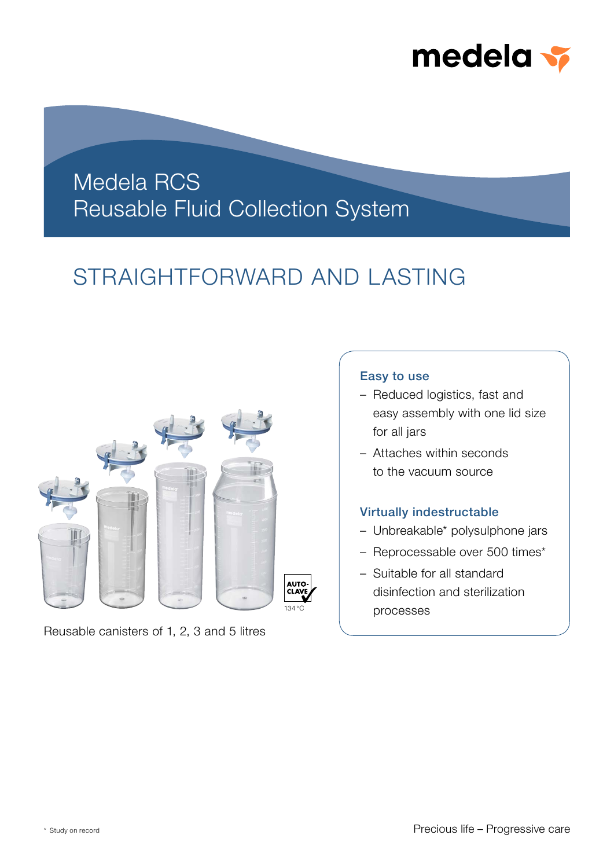

# Medela RCS Reusable Fluid Collection System

# STRAIGHTFORWARD AND LASTING



Reusable canisters of 1, 2, 3 and 5 litres

## Easy to use

- Reduced logistics, fast and easy assembly with one lid size for all jars
- Attaches within seconds to the vacuum source

## Virtually indestructable

- Unbreakable\* polysulphone jars
- Reprocessable over 500 times\*
- Suitable for all standard disinfection and sterilization processes